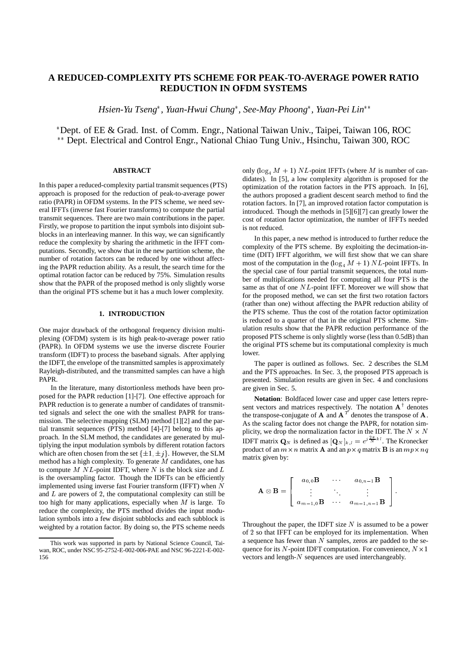# **A REDUCED-COMPLEXITY PTS SCHEME FOR PEAK-TO-AVERAGE POWER RATIO REDUCTION IN OFDM SYSTEMS**

*Hsien-Yu Tseng , Yuan-Hwui Chung , See-May Phoong , Yuan-Pei Lin*

 Dept. of EE & Grad. Inst. of Comm. Engr., National Taiwan Univ., Taipei, Taiwan 106, ROC \*\* Dept. Electrical and Control Engr., National Chiao Tung Univ., Hsinchu, Taiwan 300, ROC

## **ABSTRACT**

In this paper a reduced-complexity partial transmit sequences (PTS) approach is proposed for the reduction of peak-to-average power ratio (PAPR) in OFDM systems. In the PTS scheme, we need several IFFTs (inverse fast Fourier transforms) to compute the partial transmit sequences. There are two main contributions in the paper. Firstly, we propose to partition the input symbols into disjoint subblocks in an interleaving manner. In this way, we can significantly reduce the complexity by sharing the arithmetic in the IFFT computations. Secondly, we show that in the new partition scheme, the number of rotation factors can be reduced by one without affecting the PAPR reduction ability. As a result, the search time for the optimal rotation factor can be reduced by 75%. Simulation results show that the PAPR of the proposed method is only slightly worse than the original PTS scheme but it has a much lower complexity.

#### **1. INTRODUCTION**

One major drawback of the orthogonal frequency division multiplexing (OFDM) system is its high peak-to-average power ratio (PAPR). In OFDM systems we use the inverse discrete Fourier transform (IDFT) to process the baseband signals. After applying the IDFT, the envelope of the transmitted samples is approximately Rayleigh-distributed, and the transmitted samples can have a high PAPR.

In the literature, many distortionless methods have been proposed for the PAPR reduction [1]-[7]. One effective approach for PAPR reduction is to generate a number of candidates of transmitted signals and select the one with the smallest PAPR for transmission. The selective mapping (SLM) method [1][2] and the partial transmit sequences (PTS) method [4]-[7] belong to this approach. In the SLM method, the candidates are generated by multiplying the input modulation symbols by different rotation factors which are often chosen from the set  $\{\pm 1, \pm j\}$ . However, the SLM method has a high complexity. To generate  $M$  candidates, one has to compute  $M$  NL-point IDFT, where  $N$  is the block size and  $L$ is the oversampling factor. Though the IDFTs can be efficiently implemented using inverse fast Fourier transform (IFFT) when <sup>N</sup> and  $L$  are powers of 2, the computational complexity can still be too high for many applications, especially when  $M$  is large. To reduce the complexity, the PTS method divides the input modulation symbols into a few disjoint subblocks and each subblock is weighted by a rotation factor. By doing so, the PTS scheme needs

only  $(\log_4 M + 1) NL$ -point IFFTs (where M is number of candidates). In [5], a low complexity algorithm is proposed for the optimization of the rotation factors in the PTS approach. In [6], the authors proposed a gradient descent search method to find the rotation factors. In [7], an improved rotation factor computation is introduced. Though the methods in [5][6][7] can greatly lower the cost of rotation factor optimization, the number of IFFTs needed is not reduced.

In this paper, a new method is introduced to further reduce the complexity of the PTS scheme. By exploiting the decimation-intime (DIT) IFFT algorithm, we will first show that we can share most of the computation in the  $(\log_4 M + 1) NL$ -point IFFTs. In the special case of four partial transmit sequences, the total number of multiplications needed for computing all four PTS is the same as that of one  $NL$ -point IFFT. Moreover we will show that for the proposed method, we can set the first two rotation factors (rather than one) without affecting the PAPR reduction ability of the PTS scheme. Thus the cost of the rotation factor optimization is reduced to a quarter of that in the original PTS scheme. Simulation results show that the PAPR reduction performance of the proposed PTS scheme is only slightly worse (less than 0.5dB) than the original PTS scheme but its computational complexity is much lower.

The paper is outlined as follows. Sec. 2 describes the SLM and the PTS approaches. In Sec. 3, the proposed PTS approach is presented. Simulation results are given in Sec. 4 and conclusions are given in Sec. 5.

**Notation**: Boldfaced lower case and upper case letters represent vectors and matrices respectively. The notation  $A^{\dagger}$  denotes the transpose-conjugate of **A** and  $A<sup>T</sup>$  denotes the transpose of **A**. As the scaling factor does not change the PAPR, for notation simplicity, we drop the normalization factor in the IDFT. The  $N \times N$ **IDFT** matrix  $\mathbf{Q}_N$  is defined as  $[\mathbf{Q}_N]_{k,l} = e^{j\frac{2\pi}{N}kl}$ . The Kronecker product of an  $m \times n$  matrix **A** and an  $p \times q$  matrix **B** is an  $mp \times nq$ matrix given by:

$$
\mathbf{A} \otimes \mathbf{B} = \left[ \begin{array}{ccc} a_{0,0} \mathbf{B} & \cdots & a_{0,n-1} \mathbf{B} \\ \vdots & \ddots & \vdots \\ a_{m-1,0} \mathbf{B} & \cdots & a_{m-1,n-1} \mathbf{B} \end{array} \right].
$$

Throughout the paper, the IDFT size  $N$  is assumed to be a power of <sup>2</sup> so that IFFT can be employed for its implementation. When a sequence has fewer than  $N$  samples, zeros are padded to the sequence for its  $N$ -point IDFT computation. For convenience,  $N \times 1$ vectors and length-<sup>N</sup> sequences are used interchangeably.

This work was supported in parts by National Science Council, Taiwan, ROC, under NSC 95-2752-E-002-006-PAE and NSC 96-2221-E-002- 156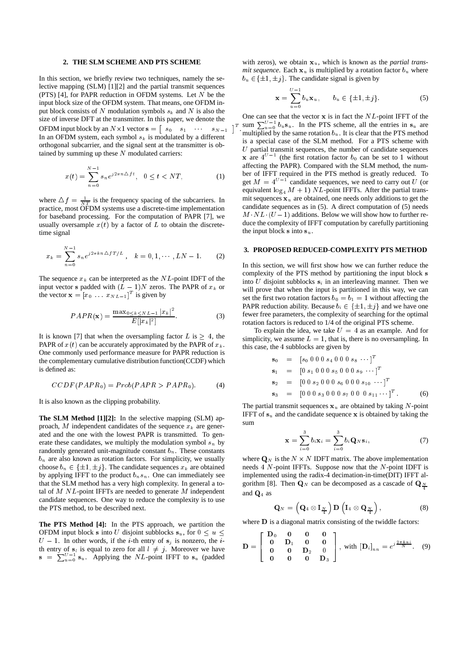#### **2. THE SLM SCHEME AND PTS SCHEME**

In this section, we briefly review two techniques, namely the selective mapping (SLM) [1][2] and the partial transmit sequences (PTS) [4], for PAPR reduction in OFDM systems. Let  $N$  be the input block size of the OFDM system. That means, one OFDM input block consists of  $N$  modulation symbols  $s_k$  and  $N$  is also the size of inverse DFT at the transmitter. In this paper, we denote the OFDM input block by an  $N \times 1$  vector  $s = \begin{bmatrix} s_0 & s_1 & \cdots & s_{N-1} \end{bmatrix}$ In an OFDM system, each symbol  $s_k$  is modulated by a different orthogonal subcarrier, and the signal sent at the transmitter is obtained by summing up these  $N$  modulated carriers:

$$
x(t) = \sum_{n=0}^{N-1} s_n e^{j2\pi n \Delta ft}, \quad 0 \le t < NT,\tag{1}
$$

-

where  $\Delta f = \frac{1}{NT}$  is the frequency spacing of the subcarriers. In practice, most OFDM systems use a discrete-time implementation for baseband processing. For the computation of PAPR [7], we usually oversample  $x(t)$  by a factor of L to obtain the discretetime signal

$$
x_k = \sum_{n=0}^{N-1} s_n e^{j2\pi k n \Delta f T/L}, \quad k = 0, 1, \cdots, LN-1.
$$
 (2)

The sequence  $x_k$  can be interpreted as the  $NL$ -point IDFT of the input vector s padded with  $(L - 1)N$  zeros. The PAPR of  $x_k$  or the vector  $\mathbf{x} = [x_0 \dots x_{NL-1}]^T$  is given by

$$
PAPR(\mathbf{x}) = \frac{\max_{0 \le k \le NL-1} |x_k|^2}{E[|x_k|^2]}.
$$
 (3)

It is known [7] that when the oversampling factor L is  $\geq 4$ , the PAPR of  $x(t)$  can be accurately approximated by the PAPR of  $x_k$ . One commonly used performance measure for PAPR reduction is the complementary cumulative distribution function(CCDF) which is defined as:

$$
CCDF(PAPR0) = Prob(PAPR > PAPR0).
$$
 (4)

It is also known as the clipping probability.

**The SLM Method [1][2]:** In the selective mapping (SLM) approach, M independent candidates of the sequence  $x_k$  are generated and the one with the lowest PAPR is transmitted. To generate these candidates, we multiply the modulation symbol  $s_n$  by randomly generated unit-magnitude constant  $b_n$ . These constants  $b_n$  are also known as rotation factors. For simplicity, we usually choose  $b_n \in {\pm 1, \pm j}$ . The candidate sequences  $x_k$  are obtained by applying IFFT to the product  $b_n s_n$ . One can immediately see that the SLM method has a very high complexity. In general a total of  $M$  NL-point IFFTs are needed to generate  $M$  independent candidate sequences. One way to reduce the complexity is to use the PTS method, to be described next.

**The PTS Method [4]:** In the PTS approach, we partition the OFDM input block s into U disjoint subblocks  $s_u$ , for  $0 \le u \le$  $U - 1$ . In other words, if the *i*-th entry of  $s_j$  is nonzero, the *i*th entry of  $s_i$  is equal to zero for all  $l \neq j$ . Moreover we have  $s = \sum_{u=0}^{U-1} s_u$ . Applying the NL-point IFFT to  $s_u$  (padded

with zeros), we obtain  $x<sub>u</sub>$ , which is known as the *partial transmit sequence*. Each  $x_u$  is multiplied by a rotation factor  $b_u$  where  $b_u \in \{\pm 1, \pm j\}$ . The candidate signal is given by

$$
\mathbf{x} = \sum_{u=0}^{U-1} b_u \mathbf{x}_u, \qquad b_u \in \{\pm 1, \pm j\}.
$$
 (5)

sum  $\sum_{u=0}^{U-1} b_u s_u$ . In the PTS scheme, all the entries in  $s_u$  are One can see that the vector  $x$  is in fact the  $NL$ -point IFFT of the multiplied by the same rotation  $b<sub>u</sub>$ . It is clear that the PTS method is a special case of the SLM method. For a PTS scheme with  $U$  partial transmit sequences, the number of candidate sequences **x** are  $4^{U-1}$  (the first rotation factor  $b_0$  can be set to 1 without affecting the PAPR). Compared with the SLM method, the number of IFFT required in the PTS method is greatly reduced. To get  $M = 4^{U-1}$  candidate sequences, we need to carry out U (or equivalent  $log_4 M + 1$ ) NL-point IFFTs. After the partial transmit sequences  $x_u$  are obtained, one needs only additions to get the candidate sequences as in (5). A direct computation of (5) needs  $M \cdot NL \cdot (U-1)$  additions. Below we will show how to further reduce the complexity of IFFT computation by carefully partitioning the input block s into  $s_u$ .

### **3. PROPOSED REDUCED-COMPLEXITY PTS METHOD**

In this section, we will first show how we can further reduce the complexity of the PTS method by partitioning the input block <sup>s</sup> into U disjoint subblocks  $s_i$  in an interleaving manner. Then we will prove that when the input is partitioned in this way, we can set the first two rotation factors  $b_0 = b_1 = 1$  without affecting the PAPR reduction ability. Because  $b_i \in {\pm 1, \pm i}$  and we have one fewer free parameters, the complexity of searching for the optimal rotation factors is reduced to 1/4 of the original PTS scheme.

To explain the idea, we take  $U = 4$  as an example. And for simplicity, we assume  $L = 1$ , that is, there is no oversampling. In this case, the <sup>4</sup> subblocks are given by

$$
\begin{array}{rcl}\n\mathbf{s}_0 & = & \left[ s_0 \ 0 \ 0 \ 0 \ s_4 \ 0 \ 0 \ 0 \ s_8 \ \cdots \right]^T \\
\mathbf{s}_1 & = & \left[ 0 \ s_1 \ 0 \ 0 \ 0 \ s_5 \ 0 \ 0 \ 0 \ s_9 \ \cdots \right]^T \\
\mathbf{s}_2 & = & \left[ 0 \ 0 \ s_2 \ 0 \ 0 \ 0 \ s_6 \ 0 \ 0 \ 0 \ s_{10} \ \cdots \right]^T \\
\mathbf{s}_3 & = & \left[ 0 \ 0 \ 0 \ s_3 \ 0 \ 0 \ 0 \ s_7 \ 0 \ 0 \ 0 \ s_{11} \ \cdots \right]^T.\n\end{array} \tag{6}
$$

The partial transmit sequences  $x_u$  are obtained by taking N-point IFFT of  $s_u$  and the candidate sequence x is obtained by taking the sum

$$
\mathbf{x} = \sum_{i=0}^{3} b_i \mathbf{x}_i = \sum_{i=0}^{3} b_i \mathbf{Q}_N \mathbf{s}_i, \tag{7}
$$

where  $\mathbf{Q}_N$  is the  $N \times N$  IDFT matrix. The above implementation needs  $4 N$ -point IFFTs. Suppose now that the  $N$ -point IDFT is implemented using the radix-4 decimation-in-time(DIT) IFFT algorithm [8]. Then  $\mathbf{Q}_N$  can be decomposed as a cascade of  $\mathbf{Q}_N$ and Q4 as

$$
\mathbf{Q}_N = \left( \mathbf{Q}_4 \otimes \mathbf{I}_{\frac{N}{4}} \right) \mathbf{D} \left( \mathbf{I}_4 \otimes \mathbf{Q}_{\frac{N}{4}} \right), \tag{8}
$$

where **D** is a diagonal matrix consisting of the twiddle factors:

$$
\mathbf{D} = \begin{bmatrix} \mathbf{D}_0 & \mathbf{0} & \mathbf{0} & \mathbf{0} \\ \mathbf{0} & \mathbf{D}_1 & \mathbf{0} & \mathbf{0} \\ \mathbf{0} & \mathbf{0} & \mathbf{D}_2 & \mathbf{0} \\ \mathbf{0} & \mathbf{0} & \mathbf{0} & \mathbf{D}_3 \end{bmatrix}, \text{ with } [\mathbf{D}_i]_{nn} = e^{j\frac{2\pi k n i}{N}}. \quad (9)
$$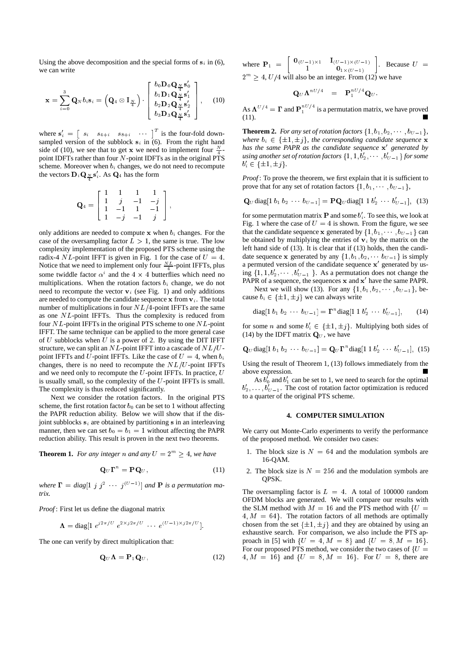Using the above decomposition and the special forms of  $s_i$  in (6), we can write

$$
\mathbf{x} = \sum_{i=0}^{3} \mathbf{Q}_{N} b_{i} \mathbf{s}_{i} = \left( \mathbf{Q}_{4} \otimes \mathbf{I}_{\frac{N}{4}} \right) \cdot \begin{bmatrix} b_{0} \mathbf{D}_{0} \mathbf{Q}_{\frac{N}{4}} \mathbf{s}_{0}^{\prime} \\ b_{1} \mathbf{D}_{1} \mathbf{Q}_{\frac{N}{4}} \mathbf{s}_{1}^{\prime} \\ b_{2} \mathbf{D}_{2} \mathbf{Q}_{\frac{N}{4}} \mathbf{s}_{2}^{\prime} \\ b_{3} \mathbf{D}_{3} \mathbf{Q}_{\frac{N}{4}} \mathbf{s}_{3}^{\prime} \end{bmatrix}, \quad (10)
$$

where  $s'_i = \begin{bmatrix} s_i & s_{4+i} & s_{8+i} & \cdots \end{bmatrix}^T$  is the four-fold downsampled version of the subblock  $s_i$  in (6). From the right hand side of (10), we see that to get **x** we need to implement four  $\frac{N}{4}$ point IDFTs rather than four N-point IDFTs as in the original PTS scheme. Moreover when  $b_i$  changes, we do not need to recompute the vectors  $\mathbf{D}_i \mathbf{Q}_{N} \mathbf{s}'_i$ . As  $\mathbf{Q}_4$  has the form

$$
\mathbf{Q}_4 = \left[ \begin{array}{rrrr} 1 & 1 & 1 & 1 \\ 1 & j & -1 & -j \\ 1 & -1 & 1 & -1 \\ 1 & -j & -1 & j \end{array} \right],
$$

only additions are needed to compute  $x$  when  $b_i$  changes. For the case of the oversampling factor  $L > 1$ , the same is true. The low complexity implementation of the proposed PTS scheme using the radix-4 NL-point IFFT is given in Fig. 1 for the case of  $U = 4$ . Notice that we need to implement only four  $\frac{NL}{4}$ -point IFFTs, plus some twiddle factor  $\alpha^i$  and the 4  $\times$  4 butterflies which need no multiplications. When the rotation factors  $b_i$  change, we do not need to recompute the vector  $v_i$  (see Fig. 1) and only additions are needed to compute the candidate sequence  $x$  from  $v_i$ . The total number of multiplications in four  $NL/4$ -point IFFTs are the same as one NL-point IFFTs. Thus the complexity is reduced from four NL-point IFFTs in the original PTS scheme to one NL-point IFFT. The same technique can be applied to the more general case of  $U$  subblocks when  $U$  is a power of 2. By using the DIT IFFT structure, we can split an  $NL$ -point IFFT into a cascade of  $NL/U$ point IFFTs and U-point IFFTs. Like the case of  $U = 4$ , when  $b_i$ changes, there is no need to recompute the  $NL/U$ -point IFFTs and we need only to recompute the  $U$ -point IFFTs. In practice,  $U$ is usually small, so the complexity of the  $U$ -point IFFTs is small. The complexity is thus reduced significantly.

Next we consider the rotation factors. In the original PTS scheme, the first rotation factor  $b_0$  can be set to 1 without affecting the PAPR reduction ability. Below we will show that if the disjoint subblocks  $s_i$  are obtained by partitioning s in an interleaving manner, then we can set  $b_0 = b_1 = 1$  without affecting the PAPR reduction ability. This result is proven in the next two theorems.

**Theorem 1.** *For any integer n and any*  $U = 2^m \geq 4$ *, we have* 

$$
\mathbf{Q}_U \mathbf{\Gamma}^n = \mathbf{P} \mathbf{Q}_U, \tag{11}
$$

where  $\Gamma = diag[1 j j^2 \cdots j^{(U-1)}]$  and **P** is a permutation ma*trix.*

*Proof* : First let us define the diagonal matrix

$$
\mathbf{\Lambda} = \text{diag}[1 \; e^{j2\pi/U} \; e^{2\times j2\pi/U} \; \cdots \; e^{(U-1)\times j2\pi/U}].
$$

The one can verify by direct multiplication that:

$$
\mathbf{Q}_U \mathbf{\Lambda} = \mathbf{P}_1 \mathbf{Q}_U, \tag{12}
$$

where  $\mathbf{P}_1 = \begin{bmatrix} \mathbf{0}_{(U-1)\times 1} & \mathbf{I}_{(U-1)\times (U-1)} \\ \mathbf{0} & \mathbf{I}_{(U-1)\times (U-1)} \end{bmatrix}$  $\begin{bmatrix} 1 & 1 & 1 \\ 1 & 0 & 0 \\ 0 & 1 & 0 \end{bmatrix}$  Because  $U =$  $2^m \geq 4$ ,  $U/4$  will also be an integer. From (12) we have

$$
\mathbf{Q}_U \mathbf{\Lambda}^{nU/4} = \mathbf{P}_1^{nU/4} \mathbf{Q}_U.
$$

As  $\Lambda^{U/4} = \Gamma$  and  $P_1^{nU/4}$  is a permutation matrix, we have proved (11).

**Theorem 2.** *For any set of rotation factors*  $\{1, b_1, b_2, \cdots, b_{U-1}\}$ *, where*  $b_i \in {\pm 1, \pm j}$ *, the corresponding candidate sequence* **x** has the same PAPR as the candidate sequence  $\mathbf{x}'$  generated by using another set of rotation factors  $\{1, 1, b_2', \cdots, b_{U-1}'\}$  for some  $b_i' \in \{\pm 1, \pm j\}.$ 

*Proof*: To prove the theorem, we first explain that it is sufficient to prove that for any set of rotation factors  $\{1, b_1, \cdots, b_{U-1}\},\$ 

$$
\mathbf{Q}_{U} \text{diag}[1 \ b_1 \ b_2 \ \cdots \ b_{U-1}] = \mathbf{P} \mathbf{Q}_{U} \text{diag}[1 \ 1 \ b'_2 \ \cdots \ b'_{U-1}], \ \ (13)
$$

for some permutation matrix **P** and some  $b_i'$ . To see this, we look at Fig. 1 where the case of  $U = 4$  is shown. From the figure, we see that the candidate sequence x generated by  $\{1, b_1, \dots, b_{U-1}\}$  can be obtained by multiplying the entries of  $v_i$  by the matrix on the left hand side of (13). It is clear that if (13) holds, then the candidate sequence x generated by any  $\{1, b_1, b_2, \cdots, b_{U-1}\}$  is simply a permuted version of the candidate sequence  $x'$  generated by using  $\{1, 1, b'_2, \dots, b'_{U-1}\}$ . As a permutation does not change the PAPR of a sequence, the sequences  $x$  and  $x'$  have the same PAPR.

Next we will show (13). For any  $\{1, b_1, b_2, \cdots, b_{U-1}\}$ , because  $b_i \in {\pm 1, \pm i}$  we can always write

diag[1 
$$
b_1
$$
  $b_2$   $\cdots$   $b_{U-1}$ ] =  $\Gamma^n$ diag[1 1  $b'_2$   $\cdots$   $b'_{U-1}$ ], (14)

for some *n* and some  $b'_i \in {\pm 1, \pm j}$ . Multiplying both sides of (14) by the IDFT matrix  $\mathbf{Q}_U$ , we have

$$
\mathbf{Q}_{U} \text{diag}[1 \ b_1 \ b_2 \ \cdots \ b_{U-1}] = \mathbf{Q}_{U} \mathbf{\Gamma}^n \text{diag}[1 \ 1 \ b'_2 \ \cdots \ b'_{U-1}], \ (15)
$$

Using the result of Theorem 1, (13) follows immediately from the above expression.

As  $b'_0$  and  $b'_1$  can be set to 1, we need to search for the optimal  $b'_2, \ldots, b'_{U-1}$ . The cost of rotation factor optimization is reduced to a quarter of the original PTS scheme.

### **4. COMPUTER SIMULATION**

We carry out Monte-Carlo experiments to verify the performance of the proposed method. We consider two cases:

- 1. The block size is  $N = 64$  and the modulation symbols are 16-QAM.
- 2. The block size is  $N = 256$  and the modulation symbols are QPSK.

The oversampling factor is  $L = 4$ . A total of 100000 random OFDM blocks are generated. We will compare our results with the SLM method with  $M = 16$  and the PTS method with  $\{U =$  $4, M = 64$ . The rotation factors of all methods are optimally chosen from the set  $\{\pm 1, \pm j\}$  and they are obtained by using an exhaustive search. For comparison, we also include the PTS approach in [5] with  $\{U = 4, M = 8\}$  and  $\{U = 8, M = 16\}$ . For our proposed PTS method, we consider the two cases of  $\{U =$ 4,  $M = 16$  and  $\{U = 8, M = 16\}$ . For  $U = 8$ , there are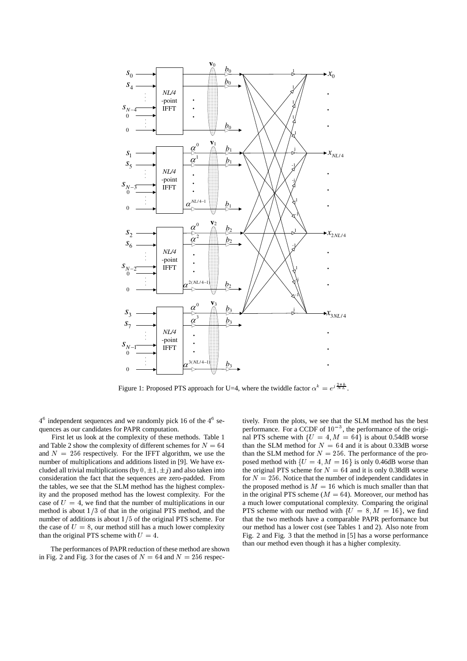

Figure 1: Proposed PTS approach for U=4, where the twiddle factor  $\alpha^k = e^{j \frac{2\pi k}{N L}}$ .

 $4^6$  independent sequences and we randomly pick 16 of the  $4^6$  sequences as our candidates for PAPR computation.

First let us look at the complexity of these methods. Table 1 and Table 2 show the complexity of different schemes for  $N = 64$ and  $N = 256$  respectively. For the IFFT algorithm, we use the number of multiplications and additions listed in [9]. We have excluded all trivial multiplications (by  $0, \pm 1, \pm j$ ) and also taken into consideration the fact that the sequences are zero-padded. From the tables, we see that the SLM method has the highest complexity and the proposed method has the lowest complexity. For the case of  $U = 4$ , we find that the number of multiplications in our method is about  $1/3$  of that in the original PTS method, and the number of additions is about  $1/5$  of the original PTS scheme. For the case of  $U = 8$ , our method still has a much lower complexity than the original PTS scheme with  $U = 4$ .

The performances of PAPR reduction of these method are shown in Fig. 2 and Fig. 3 for the cases of  $N = 64$  and  $N = 256$  respectively. From the plots, we see that the SLM method has the best performance. For a CCDF of  $10^{-3}$ , the performance of the original PTS scheme with  $\{U = 4, M = 64\}$  is about 0.54dB worse than the SLM method for  $N = 64$  and it is about 0.33dB worse than the SLM method for  $N = 256$ . The performance of the proposed method with  $\{U = 4, M = 16\}$  is only 0.46dB worse than the original PTS scheme for  $N = 64$  and it is only 0.38dB worse for  $N = 256$ . Notice that the number of independent candidates in the proposed method is  $M = 16$  which is much smaller than that in the original PTS scheme ( $M = 64$ ). Moreover, our method has a much lower computational complexity. Comparing the original PTS scheme with our method with  $\{U = 8, M = 16\}$ , we find that the two methods have a comparable PAPR performance but our method has a lower cost (see Tables 1 and 2). Also note from Fig. 2 and Fig. 3 that the method in [5] has a worse performance than our method even though it has a higher complexity.